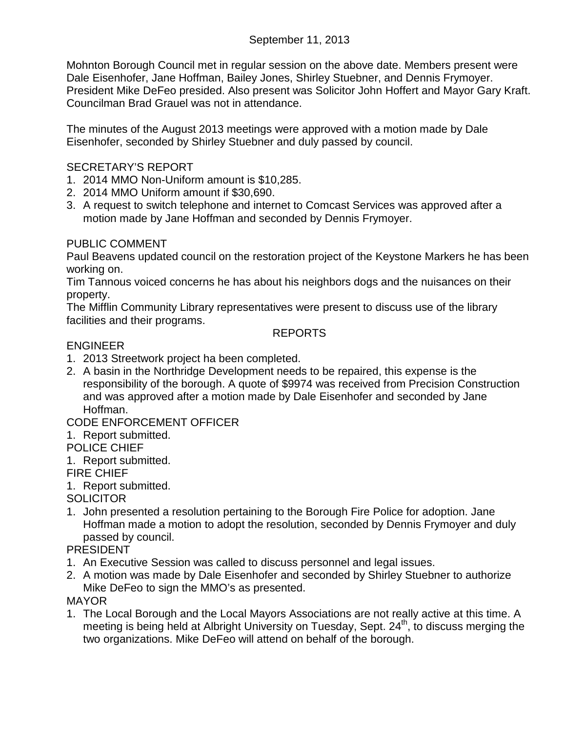Mohnton Borough Council met in regular session on the above date. Members present were Dale Eisenhofer, Jane Hoffman, Bailey Jones, Shirley Stuebner, and Dennis Frymoyer. President Mike DeFeo presided. Also present was Solicitor John Hoffert and Mayor Gary Kraft. Councilman Brad Grauel was not in attendance.

The minutes of the August 2013 meetings were approved with a motion made by Dale Eisenhofer, seconded by Shirley Stuebner and duly passed by council.

## SECRETARY'S REPORT

- 1. 2014 MMO Non-Uniform amount is \$10,285.
- 2. 2014 MMO Uniform amount if \$30,690.
- 3. A request to switch telephone and internet to Comcast Services was approved after a motion made by Jane Hoffman and seconded by Dennis Frymoyer.

## PUBLIC COMMENT

Paul Beavens updated council on the restoration project of the Keystone Markers he has been working on.

Tim Tannous voiced concerns he has about his neighbors dogs and the nuisances on their property.

The Mifflin Community Library representatives were present to discuss use of the library facilities and their programs.

## REPORTS

## ENGINEER

- 1. 2013 Streetwork project ha been completed.
- 2. A basin in the Northridge Development needs to be repaired, this expense is the responsibility of the borough. A quote of \$9974 was received from Precision Construction and was approved after a motion made by Dale Eisenhofer and seconded by Jane Hoffman.

# CODE ENFORCEMENT OFFICER

1. Report submitted.

## POLICE CHIEF

- 1. Report submitted.
- FIRE CHIEF
- 1. Report submitted.

# **SOLICITOR**

1. John presented a resolution pertaining to the Borough Fire Police for adoption. Jane Hoffman made a motion to adopt the resolution, seconded by Dennis Frymoyer and duly passed by council.

## PRESIDENT

- 1. An Executive Session was called to discuss personnel and legal issues.
- 2. A motion was made by Dale Eisenhofer and seconded by Shirley Stuebner to authorize Mike DeFeo to sign the MMO's as presented.

# MAYOR

1. The Local Borough and the Local Mayors Associations are not really active at this time. A meeting is being held at Albright University on Tuesday, Sept. 24<sup>th</sup>, to discuss merging the two organizations. Mike DeFeo will attend on behalf of the borough.